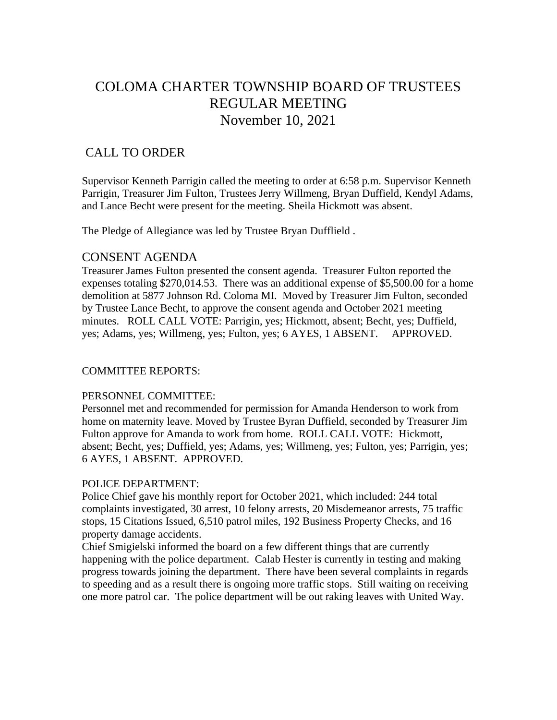# COLOMA CHARTER TOWNSHIP BOARD OF TRUSTEES REGULAR MEETING November 10, 2021

# CALL TO ORDER

Supervisor Kenneth Parrigin called the meeting to order at 6:58 p.m. Supervisor Kenneth Parrigin, Treasurer Jim Fulton, Trustees Jerry Willmeng, Bryan Duffield, Kendyl Adams, and Lance Becht were present for the meeting. Sheila Hickmott was absent.

The Pledge of Allegiance was led by Trustee Bryan Dufflield .

# CONSENT AGENDA

Treasurer James Fulton presented the consent agenda. Treasurer Fulton reported the expenses totaling \$270,014.53. There was an additional expense of \$5,500.00 for a home demolition at 5877 Johnson Rd. Coloma MI. Moved by Treasurer Jim Fulton, seconded by Trustee Lance Becht, to approve the consent agenda and October 2021 meeting minutes. ROLL CALL VOTE: Parrigin, yes; Hickmott, absent; Becht, yes; Duffield, yes; Adams, yes; Willmeng, yes; Fulton, yes; 6 AYES, 1 ABSENT. APPROVED.

# COMMITTEE REPORTS:

# PERSONNEL COMMITTEE:

Personnel met and recommended for permission for Amanda Henderson to work from home on maternity leave. Moved by Trustee Byran Duffield, seconded by Treasurer Jim Fulton approve for Amanda to work from home. ROLL CALL VOTE: Hickmott, absent; Becht, yes; Duffield, yes; Adams, yes; Willmeng, yes; Fulton, yes; Parrigin, yes; 6 AYES, 1 ABSENT. APPROVED.

# POLICE DEPARTMENT:

Police Chief gave his monthly report for October 2021, which included: 244 total complaints investigated, 30 arrest, 10 felony arrests, 20 Misdemeanor arrests, 75 traffic stops, 15 Citations Issued, 6,510 patrol miles, 192 Business Property Checks, and 16 property damage accidents.

Chief Smigielski informed the board on a few different things that are currently happening with the police department. Calab Hester is currently in testing and making progress towards joining the department. There have been several complaints in regards to speeding and as a result there is ongoing more traffic stops. Still waiting on receiving one more patrol car. The police department will be out raking leaves with United Way.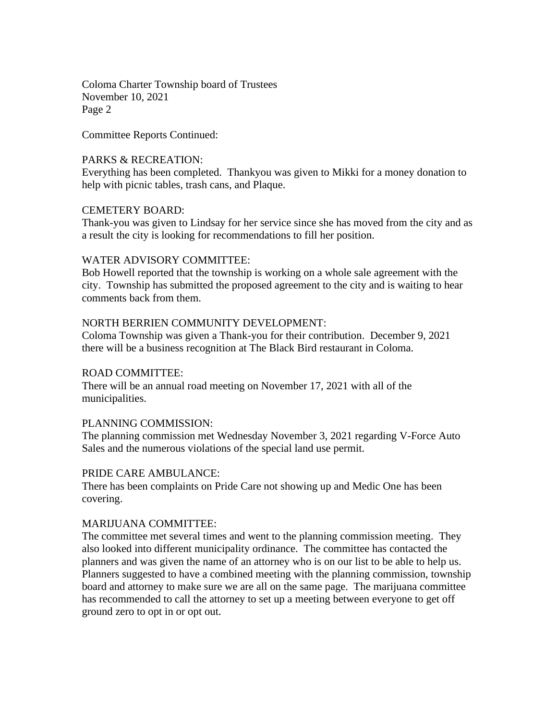Coloma Charter Township board of Trustees November 10, 2021 Page 2

Committee Reports Continued:

#### PARKS & RECREATION:

Everything has been completed. Thankyou was given to Mikki for a money donation to help with picnic tables, trash cans, and Plaque.

#### CEMETERY BOARD:

Thank-you was given to Lindsay for her service since she has moved from the city and as a result the city is looking for recommendations to fill her position.

#### WATER ADVISORY COMMITTEE:

Bob Howell reported that the township is working on a whole sale agreement with the city. Township has submitted the proposed agreement to the city and is waiting to hear comments back from them.

#### NORTH BERRIEN COMMUNITY DEVELOPMENT:

Coloma Township was given a Thank-you for their contribution. December 9, 2021 there will be a business recognition at The Black Bird restaurant in Coloma.

# ROAD COMMITTEE:

There will be an annual road meeting on November 17, 2021 with all of the municipalities.

#### PLANNING COMMISSION:

The planning commission met Wednesday November 3, 2021 regarding V-Force Auto Sales and the numerous violations of the special land use permit.

# PRIDE CARE AMBULANCE:

There has been complaints on Pride Care not showing up and Medic One has been covering.

# MARIJUANA COMMITTEE:

The committee met several times and went to the planning commission meeting. They also looked into different municipality ordinance. The committee has contacted the planners and was given the name of an attorney who is on our list to be able to help us. Planners suggested to have a combined meeting with the planning commission, township board and attorney to make sure we are all on the same page. The marijuana committee has recommended to call the attorney to set up a meeting between everyone to get off ground zero to opt in or opt out.